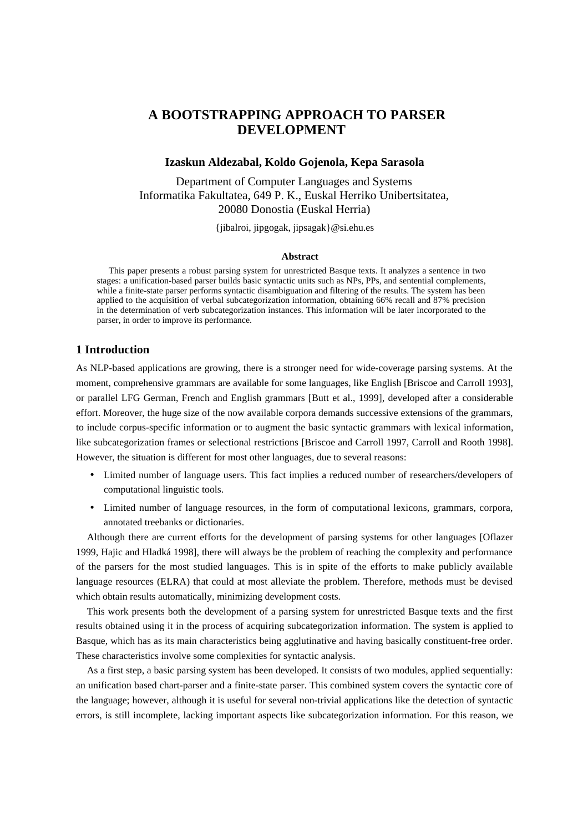# **A BOOTSTRAPPING APPROACH TO PARSER DEVELOPMENT**

## **Izaskun Aldezabal, Koldo Gojenola, Kepa Sarasola**

Department of Computer Languages and Systems Informatika Fakultatea, 649 P. K., Euskal Herriko Unibertsitatea, 20080 Donostia (Euskal Herria)

{jibalroi, jipgogak, jipsagak}@si.ehu.es

#### **Abstract**

This paper presents a robust parsing system for unrestricted Basque texts. It analyzes a sentence in two stages: a unification-based parser builds basic syntactic units such as NPs, PPs, and sentential complements, while a finite-state parser performs syntactic disambiguation and filtering of the results. The system has been applied to the acquisition of verbal subcategorization information, obtaining 66% recall and 87% precision in the determination of verb subcategorization instances. This information will be later incorporated to the parser, in order to improve its performance.

## **1 Introduction**

As NLP-based applications are growing, there is a stronger need for wide-coverage parsing systems. At the moment, comprehensive grammars are available for some languages, like English [Briscoe and Carroll 1993], or parallel LFG German, French and English grammars [Butt et al., 1999], developed after a considerable effort. Moreover, the huge size of the now available corpora demands successive extensions of the grammars, to include corpus-specific information or to augment the basic syntactic grammars with lexical information, like subcategorization frames or selectional restrictions [Briscoe and Carroll 1997, Carroll and Rooth 1998]. However, the situation is different for most other languages, due to several reasons:

- Limited number of language users. This fact implies a reduced number of researchers/developers of computational linguistic tools.
- Limited number of language resources, in the form of computational lexicons, grammars, corpora, annotated treebanks or dictionaries.

Although there are current efforts for the development of parsing systems for other languages [Oflazer 1999, Hajic and Hladká 1998], there will always be the problem of reaching the complexity and performance of the parsers for the most studied languages. This is in spite of the efforts to make publicly available language resources (ELRA) that could at most alleviate the problem. Therefore, methods must be devised which obtain results automatically, minimizing development costs.

This work presents both the development of a parsing system for unrestricted Basque texts and the first results obtained using it in the process of acquiring subcategorization information. The system is applied to Basque, which has as its main characteristics being agglutinative and having basically constituent-free order. These characteristics involve some complexities for syntactic analysis.

As a first step, a basic parsing system has been developed. It consists of two modules, applied sequentially: an unification based chart-parser and a finite-state parser. This combined system covers the syntactic core of the language; however, although it is useful for several non-trivial applications like the detection of syntactic errors, is still incomplete, lacking important aspects like subcategorization information. For this reason, we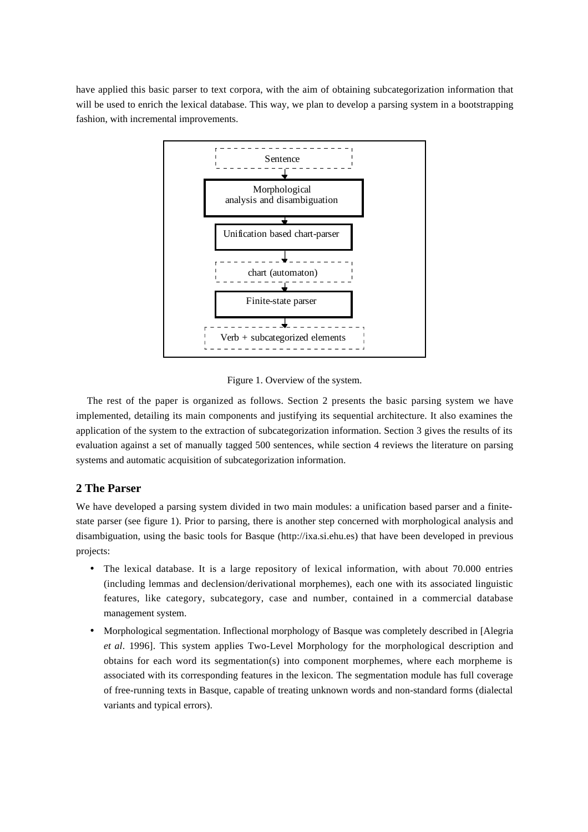have applied this basic parser to text corpora, with the aim of obtaining subcategorization information that will be used to enrich the lexical database. This way, we plan to develop a parsing system in a bootstrapping fashion, with incremental improvements.



Figure 1. Overview of the system.

The rest of the paper is organized as follows. Section 2 presents the basic parsing system we have implemented, detailing its main components and justifying its sequential architecture. It also examines the application of the system to the extraction of subcategorization information. Section 3 gives the results of its evaluation against a set of manually tagged 500 sentences, while section 4 reviews the literature on parsing systems and automatic acquisition of subcategorization information.

## **2 The Parser**

We have developed a parsing system divided in two main modules: a unification based parser and a finitestate parser (see figure 1). Prior to parsing, there is another step concerned with morphological analysis and disambiguation, using the basic tools for Basque (http://ixa.si.ehu.es) that have been developed in previous projects:

- The lexical database. It is a large repository of lexical information, with about 70.000 entries (including lemmas and declension/derivational morphemes), each one with its associated linguistic features, like category, subcategory, case and number, contained in a commercial database management system.
- Morphological segmentation. Inflectional morphology of Basque was completely described in [Alegria *et al*. 1996]. This system applies Two-Level Morphology for the morphological description and obtains for each word its segmentation(s) into component morphemes, where each morpheme is associated with its corresponding features in the lexicon. The segmentation module has full coverage of free-running texts in Basque, capable of treating unknown words and non-standard forms (dialectal variants and typical errors).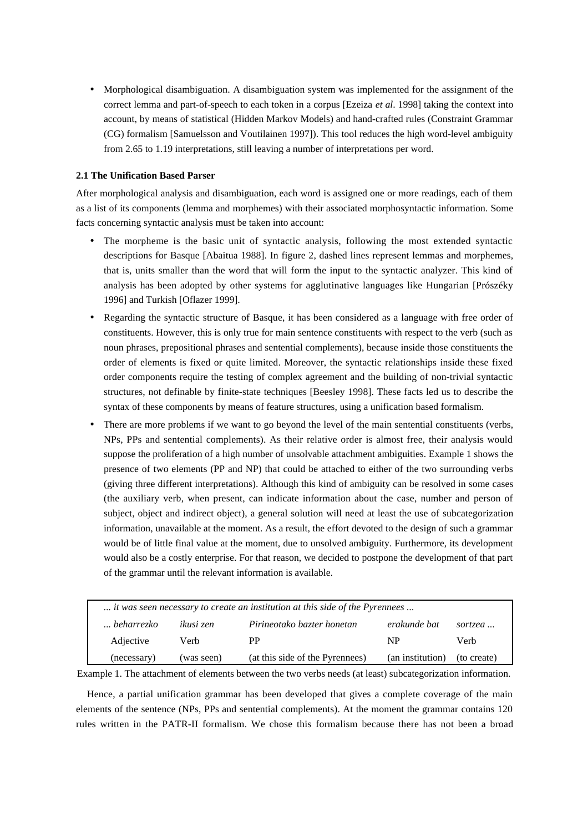• Morphological disambiguation. A disambiguation system was implemented for the assignment of the correct lemma and part-of-speech to each token in a corpus [Ezeiza *et al*. 1998] taking the context into account, by means of statistical (Hidden Markov Models) and hand-crafted rules (Constraint Grammar (CG) formalism [Samuelsson and Voutilainen 1997]). This tool reduces the high word-level ambiguity from 2.65 to 1.19 interpretations, still leaving a number of interpretations per word.

## **2.1 The Unification Based Parser**

After morphological analysis and disambiguation, each word is assigned one or more readings, each of them as a list of its components (lemma and morphemes) with their associated morphosyntactic information. Some facts concerning syntactic analysis must be taken into account:

- The morpheme is the basic unit of syntactic analysis, following the most extended syntactic descriptions for Basque [Abaitua 1988]. In figure 2, dashed lines represent lemmas and morphemes, that is, units smaller than the word that will form the input to the syntactic analyzer. This kind of analysis has been adopted by other systems for agglutinative languages like Hungarian [Prószéky 1996] and Turkish [Oflazer 1999].
- Regarding the syntactic structure of Basque, it has been considered as a language with free order of constituents. However, this is only true for main sentence constituents with respect to the verb (such as noun phrases, prepositional phrases and sentential complements), because inside those constituents the order of elements is fixed or quite limited. Moreover, the syntactic relationships inside these fixed order components require the testing of complex agreement and the building of non-trivial syntactic structures, not definable by finite-state techniques [Beesley 1998]. These facts led us to describe the syntax of these components by means of feature structures, using a unification based formalism.
- There are more problems if we want to go beyond the level of the main sentential constituents (verbs, NPs, PPs and sentential complements). As their relative order is almost free, their analysis would suppose the proliferation of a high number of unsolvable attachment ambiguities. Example 1 shows the presence of two elements (PP and NP) that could be attached to either of the two surrounding verbs (giving three different interpretations). Although this kind of ambiguity can be resolved in some cases (the auxiliary verb, when present, can indicate information about the case, number and person of subject, object and indirect object), a general solution will need at least the use of subcategorization information, unavailable at the moment. As a result, the effort devoted to the design of such a grammar would be of little final value at the moment, due to unsolved ambiguity. Furthermore, its development would also be a costly enterprise. For that reason, we decided to postpone the development of that part of the grammar until the relevant information is available.

| it was seen necessary to create an institution at this side of the Pyrennees |            |                                 |                  |             |
|------------------------------------------------------------------------------|------------|---------------------------------|------------------|-------------|
| beharrezko                                                                   | ikusi zen  | Pirineotako bazter honetan      | erakunde bat     | sortzea     |
| Adjective                                                                    | Verb       | PP                              | NP               | Verb        |
| (necessary)                                                                  | (was seen) | (at this side of the Pyrennees) | (an institution) | (to create) |

Example 1. The attachment of elements between the two verbs needs (at least) subcategorization information.

Hence, a partial unification grammar has been developed that gives a complete coverage of the main elements of the sentence (NPs, PPs and sentential complements). At the moment the grammar contains 120 rules written in the PATR-II formalism. We chose this formalism because there has not been a broad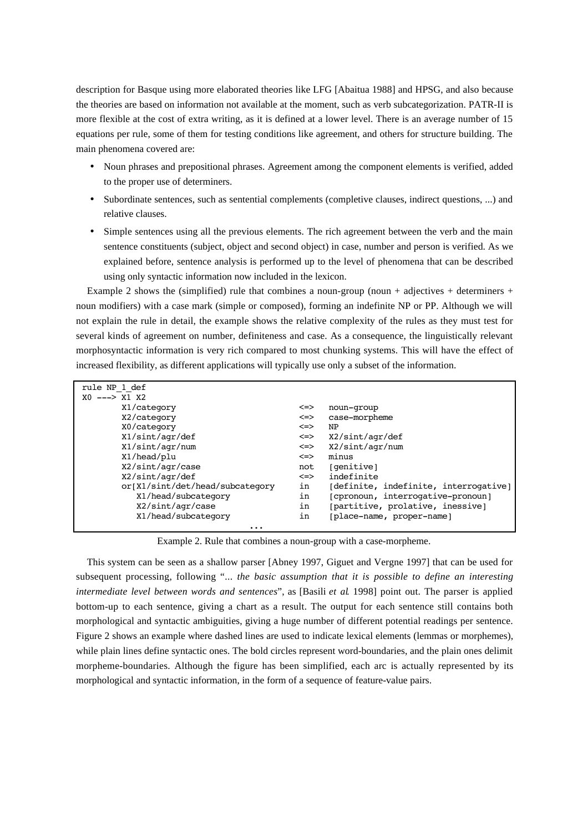description for Basque using more elaborated theories like LFG [Abaitua 1988] and HPSG, and also because the theories are based on information not available at the moment, such as verb subcategorization. PATR-II is more flexible at the cost of extra writing, as it is defined at a lower level. There is an average number of 15 equations per rule, some of them for testing conditions like agreement, and others for structure building. The main phenomena covered are:

- Noun phrases and prepositional phrases. Agreement among the component elements is verified, added to the proper use of determiners.
- Subordinate sentences, such as sentential complements (completive clauses, indirect questions, ...) and relative clauses.
- Simple sentences using all the previous elements. The rich agreement between the verb and the main sentence constituents (subject, object and second object) in case, number and person is verified. As we explained before, sentence analysis is performed up to the level of phenomena that can be described using only syntactic information now included in the lexicon.

Example 2 shows the (simplified) rule that combines a noun-group (noun + adjectives + determiners + noun modifiers) with a case mark (simple or composed), forming an indefinite NP or PP. Although we will not explain the rule in detail, the example shows the relative complexity of the rules as they must test for several kinds of agreement on number, definiteness and case. As a consequence, the linguistically relevant morphosyntactic information is very rich compared to most chunking systems. This will have the effect of increased flexibility, as different applications will typically use only a subset of the information.

| rule NP 1 def                   |     |                                       |
|---------------------------------|-----|---------------------------------------|
| $X0$ ---> $X1$ $X2$             |     |                                       |
| X1/category                     | <=> | noun-group                            |
| X2/category                     | <=> | case-morpheme                         |
| X0/category                     | <=> | NP                                    |
| X1/sint/agr/def                 | <=> | X2/sint/agr/def                       |
| X1/sint/agr/num                 | <=> | X2/sint/agr/num                       |
| X1/head/plu                     | <=> | minus                                 |
| X2/sint/agr/case                | not | [genitive]                            |
| X2/sint/agr/def                 | <=> | indefinite                            |
| or[X1/sint/det/head/subcategory | in  | [definite, indefinite, interrogative] |
| X1/head/subcategory             | in  | [cpronoun, interrogative-pronoun]     |
| X2/sint/agr/case                | in  | [partitive, prolative, inessive]      |
| X1/head/subcategory             | in  | [place-name, proper-name]             |
| $\cdots$                        |     |                                       |

Example 2. Rule that combines a noun-group with a case-morpheme.

This system can be seen as a shallow parser [Abney 1997, Giguet and Vergne 1997] that can be used for subsequent processing, following "... *the basic assumption that it is possible to define an interesting intermediate level between words and sentences*", as [Basili *et al*. 1998] point out. The parser is applied bottom-up to each sentence, giving a chart as a result. The output for each sentence still contains both morphological and syntactic ambiguities, giving a huge number of different potential readings per sentence. Figure 2 shows an example where dashed lines are used to indicate lexical elements (lemmas or morphemes), while plain lines define syntactic ones. The bold circles represent word-boundaries, and the plain ones delimit morpheme-boundaries. Although the figure has been simplified, each arc is actually represented by its morphological and syntactic information, in the form of a sequence of feature-value pairs.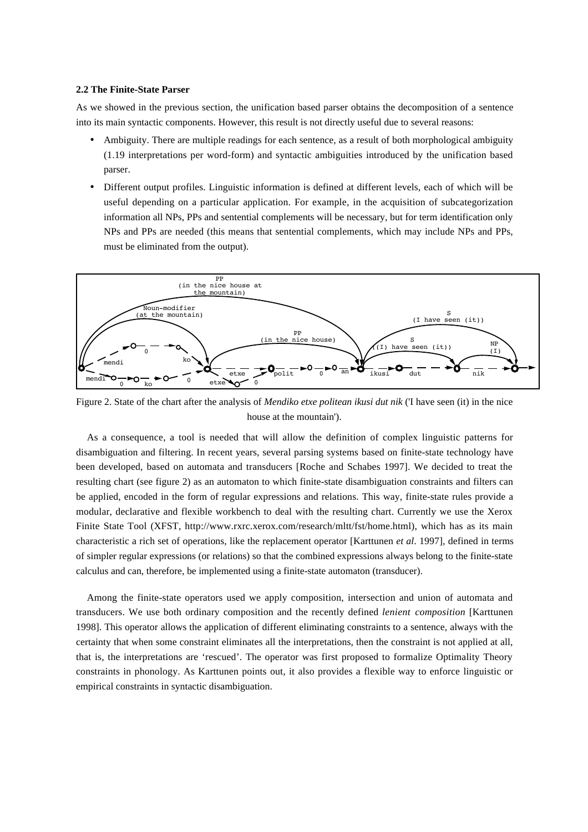#### **2.2 The Finite-State Parser**

As we showed in the previous section, the unification based parser obtains the decomposition of a sentence into its main syntactic components. However, this result is not directly useful due to several reasons:

- Ambiguity. There are multiple readings for each sentence, as a result of both morphological ambiguity (1.19 interpretations per word-form) and syntactic ambiguities introduced by the unification based parser.
- Different output profiles. Linguistic information is defined at different levels, each of which will be useful depending on a particular application. For example, in the acquisition of subcategorization information all NPs, PPs and sentential complements will be necessary, but for term identification only NPs and PPs are needed (this means that sentential complements, which may include NPs and PPs, must be eliminated from the output).



Figure 2. State of the chart after the analysis of *Mendiko etxe politean ikusi dut nik* ('I have seen (it) in the nice house at the mountain').

As a consequence, a tool is needed that will allow the definition of complex linguistic patterns for disambiguation and filtering. In recent years, several parsing systems based on finite-state technology have been developed, based on automata and transducers [Roche and Schabes 1997]. We decided to treat the resulting chart (see figure 2) as an automaton to which finite-state disambiguation constraints and filters can be applied, encoded in the form of regular expressions and relations. This way, finite-state rules provide a modular, declarative and flexible workbench to deal with the resulting chart. Currently we use the Xerox Finite State Tool (XFST, http://www.rxrc.xerox.com/research/mltt/fst/home.html), which has as its main characteristic a rich set of operations, like the replacement operator [Karttunen *et al*. 1997], defined in terms of simpler regular expressions (or relations) so that the combined expressions always belong to the finite-state calculus and can, therefore, be implemented using a finite-state automaton (transducer).

Among the finite-state operators used we apply composition, intersection and union of automata and transducers. We use both ordinary composition and the recently defined *lenient composition* [Karttunen 1998]. This operator allows the application of different eliminating constraints to a sentence, always with the certainty that when some constraint eliminates all the interpretations, then the constraint is not applied at all, that is, the interpretations are 'rescued'. The operator was first proposed to formalize Optimality Theory constraints in phonology. As Karttunen points out, it also provides a flexible way to enforce linguistic or empirical constraints in syntactic disambiguation.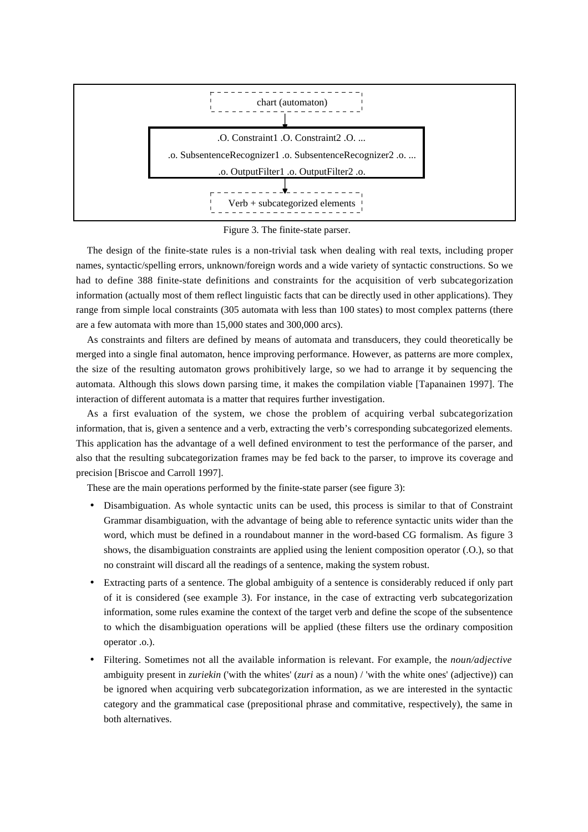

Figure 3. The finite-state parser.

The design of the finite-state rules is a non-trivial task when dealing with real texts, including proper names, syntactic/spelling errors, unknown/foreign words and a wide variety of syntactic constructions. So we had to define 388 finite-state definitions and constraints for the acquisition of verb subcategorization information (actually most of them reflect linguistic facts that can be directly used in other applications). They range from simple local constraints (305 automata with less than 100 states) to most complex patterns (there are a few automata with more than 15,000 states and 300,000 arcs).

As constraints and filters are defined by means of automata and transducers, they could theoretically be merged into a single final automaton, hence improving performance. However, as patterns are more complex, the size of the resulting automaton grows prohibitively large, so we had to arrange it by sequencing the automata. Although this slows down parsing time, it makes the compilation viable [Tapanainen 1997]. The interaction of different automata is a matter that requires further investigation.

As a first evaluation of the system, we chose the problem of acquiring verbal subcategorization information, that is, given a sentence and a verb, extracting the verb's corresponding subcategorized elements. This application has the advantage of a well defined environment to test the performance of the parser, and also that the resulting subcategorization frames may be fed back to the parser, to improve its coverage and precision [Briscoe and Carroll 1997].

These are the main operations performed by the finite-state parser (see figure 3):

- Disambiguation. As whole syntactic units can be used, this process is similar to that of Constraint Grammar disambiguation, with the advantage of being able to reference syntactic units wider than the word, which must be defined in a roundabout manner in the word-based CG formalism. As figure 3 shows, the disambiguation constraints are applied using the lenient composition operator (.O.), so that no constraint will discard all the readings of a sentence, making the system robust.
- Extracting parts of a sentence. The global ambiguity of a sentence is considerably reduced if only part of it is considered (see example 3). For instance, in the case of extracting verb subcategorization information, some rules examine the context of the target verb and define the scope of the subsentence to which the disambiguation operations will be applied (these filters use the ordinary composition operator .o.).
- Filtering. Sometimes not all the available information is relevant. For example, the *noun/adjective* ambiguity present in *zuriekin* ('with the whites' (*zuri* as a noun) / 'with the white ones' (adjective)) can be ignored when acquiring verb subcategorization information, as we are interested in the syntactic category and the grammatical case (prepositional phrase and commitative, respectively), the same in both alternatives.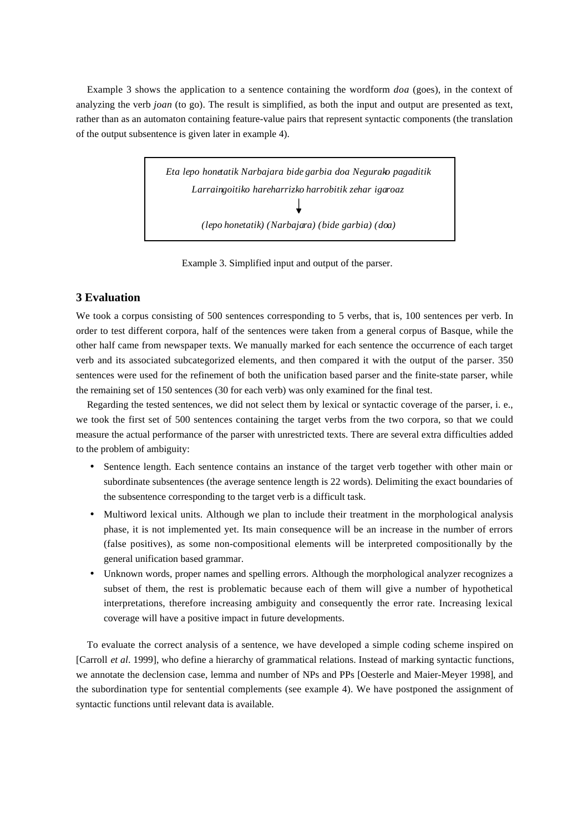Example 3 shows the application to a sentence containing the wordform *doa* (goes), in the context of analyzing the verb *joan* (to go). The result is simplified, as both the input and output are presented as text, rather than as an automaton containing feature-value pairs that represent syntactic components (the translation of the output subsentence is given later in example 4).

> *Eta lepo honetatik Narbajara bide garbia doa Negurako pagaditik Larraingoitiko hareharrizko harrobitik zehar igaroaz (lepo honetatik) (Narbajara) (bide garbia) (doa)*

Example 3. Simplified input and output of the parser.

## **3 Evaluation**

We took a corpus consisting of 500 sentences corresponding to 5 verbs, that is, 100 sentences per verb. In order to test different corpora, half of the sentences were taken from a general corpus of Basque, while the other half came from newspaper texts. We manually marked for each sentence the occurrence of each target verb and its associated subcategorized elements, and then compared it with the output of the parser. 350 sentences were used for the refinement of both the unification based parser and the finite-state parser, while the remaining set of 150 sentences (30 for each verb) was only examined for the final test.

Regarding the tested sentences, we did not select them by lexical or syntactic coverage of the parser, i. e., we took the first set of 500 sentences containing the target verbs from the two corpora, so that we could measure the actual performance of the parser with unrestricted texts. There are several extra difficulties added to the problem of ambiguity:

- Sentence length. Each sentence contains an instance of the target verb together with other main or subordinate subsentences (the average sentence length is 22 words). Delimiting the exact boundaries of the subsentence corresponding to the target verb is a difficult task.
- Multiword lexical units. Although we plan to include their treatment in the morphological analysis phase, it is not implemented yet. Its main consequence will be an increase in the number of errors (false positives), as some non-compositional elements will be interpreted compositionally by the general unification based grammar.
- Unknown words, proper names and spelling errors. Although the morphological analyzer recognizes a subset of them, the rest is problematic because each of them will give a number of hypothetical interpretations, therefore increasing ambiguity and consequently the error rate. Increasing lexical coverage will have a positive impact in future developments.

To evaluate the correct analysis of a sentence, we have developed a simple coding scheme inspired on [Carroll *et al*. 1999], who define a hierarchy of grammatical relations. Instead of marking syntactic functions, we annotate the declension case, lemma and number of NPs and PPs [Oesterle and Maier-Meyer 1998], and the subordination type for sentential complements (see example 4). We have postponed the assignment of syntactic functions until relevant data is available.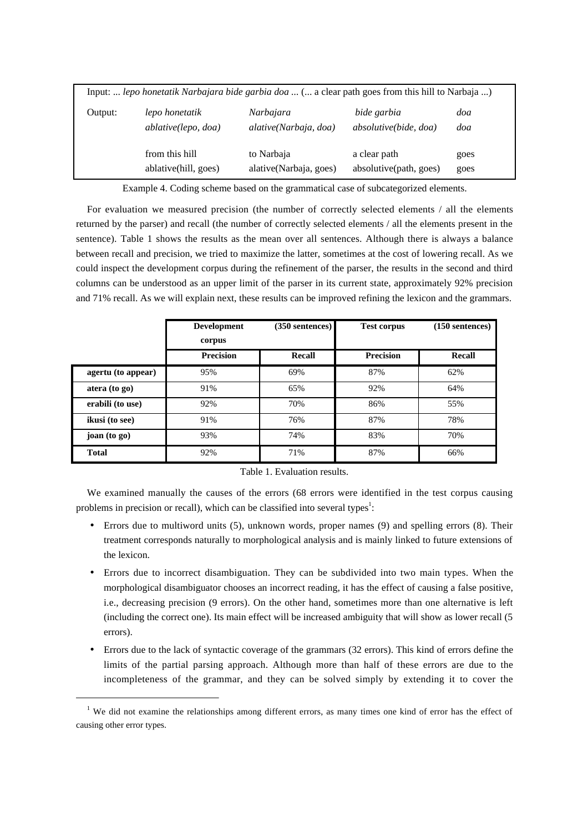|         | Input:  lepo honetatik Narbajara bide garbia doa  ( a clear path goes from this hill to Narbaja ) |                        |                              |      |
|---------|---------------------------------------------------------------------------------------------------|------------------------|------------------------------|------|
| Output: | lepo honetatik                                                                                    | Narbajara              | bide garbia                  | doa  |
|         | ablative(lepo, doa)                                                                               | alative(Narbaja, doa)  | <i>absolutive(bide, doa)</i> | doa  |
|         | from this hill                                                                                    | to Narbaja             | a clear path                 | goes |
|         | ablative(hill, goes)                                                                              | alative(Narbaja, goes) | absolutive(path, goes)       | goes |

Example 4. Coding scheme based on the grammatical case of subcategorized elements.

For evaluation we measured precision (the number of correctly selected elements / all the elements returned by the parser) and recall (the number of correctly selected elements / all the elements present in the sentence). Table 1 shows the results as the mean over all sentences. Although there is always a balance between recall and precision, we tried to maximize the latter, sometimes at the cost of lowering recall. As we could inspect the development corpus during the refinement of the parser, the results in the second and third columns can be understood as an upper limit of the parser in its current state, approximately 92% precision and 71% recall. As we will explain next, these results can be improved refining the lexicon and the grammars.

|                         | <b>Development</b><br>corpus | (350 sentences) | <b>Test corpus</b> | $(150$ sentences) |
|-------------------------|------------------------------|-----------------|--------------------|-------------------|
|                         | <b>Precision</b>             | Recall          | <b>Precision</b>   | Recall            |
| agertu (to appear)      | 95%                          | 69%             | 87%                | 62%               |
| $\arctan(\text{to go})$ | 91%                          | 65%             | 92%                | 64%               |
| erabili (to use)        | 92%                          | 70%             | 86%                | 55%               |
| ikusi (to see)          | 91%                          | 76%             | 87%                | 78%               |
| joan (to go)            | 93%                          | 74%             | 83%                | 70%               |
| <b>Total</b>            | 92%                          | 71%             | 87%                | 66%               |

Table 1. Evaluation results.

We examined manually the causes of the errors (68 errors were identified in the test corpus causing problems in precision or recall), which can be classified into several types<sup>1</sup>:

- Errors due to multiword units (5), unknown words, proper names (9) and spelling errors (8). Their treatment corresponds naturally to morphological analysis and is mainly linked to future extensions of the lexicon.
- Errors due to incorrect disambiguation. They can be subdivided into two main types. When the morphological disambiguator chooses an incorrect reading, it has the effect of causing a false positive, i.e., decreasing precision (9 errors). On the other hand, sometimes more than one alternative is left (including the correct one). Its main effect will be increased ambiguity that will show as lower recall (5 errors).
- Errors due to the lack of syntactic coverage of the grammars (32 errors). This kind of errors define the limits of the partial parsing approach. Although more than half of these errors are due to the incompleteness of the grammar, and they can be solved simply by extending it to cover the

 $\overline{a}$ 

<sup>&</sup>lt;sup>1</sup> We did not examine the relationships among different errors, as many times one kind of error has the effect of causing other error types.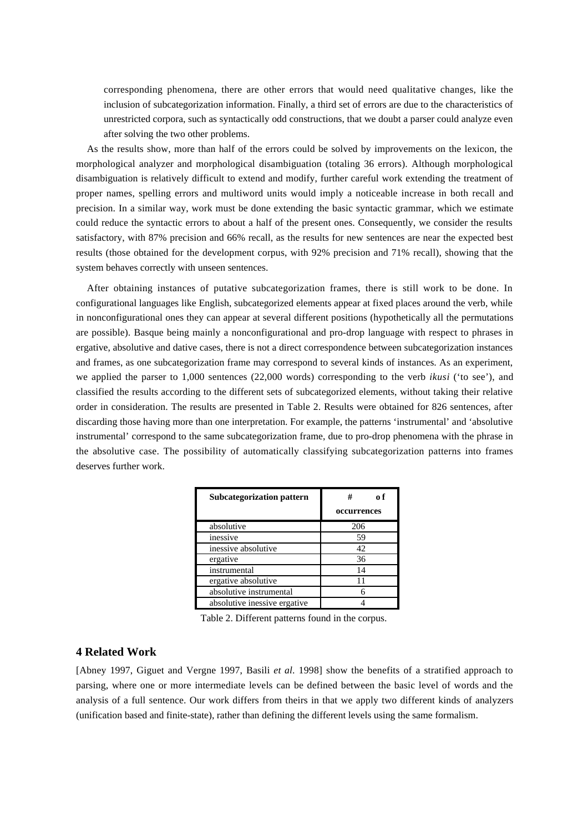corresponding phenomena, there are other errors that would need qualitative changes, like the inclusion of subcategorization information. Finally, a third set of errors are due to the characteristics of unrestricted corpora, such as syntactically odd constructions, that we doubt a parser could analyze even after solving the two other problems.

As the results show, more than half of the errors could be solved by improvements on the lexicon, the morphological analyzer and morphological disambiguation (totaling 36 errors). Although morphological disambiguation is relatively difficult to extend and modify, further careful work extending the treatment of proper names, spelling errors and multiword units would imply a noticeable increase in both recall and precision. In a similar way, work must be done extending the basic syntactic grammar, which we estimate could reduce the syntactic errors to about a half of the present ones. Consequently, we consider the results satisfactory, with 87% precision and 66% recall, as the results for new sentences are near the expected best results (those obtained for the development corpus, with 92% precision and 71% recall), showing that the system behaves correctly with unseen sentences.

After obtaining instances of putative subcategorization frames, there is still work to be done. In configurational languages like English, subcategorized elements appear at fixed places around the verb, while in nonconfigurational ones they can appear at several different positions (hypothetically all the permutations are possible). Basque being mainly a nonconfigurational and pro-drop language with respect to phrases in ergative, absolutive and dative cases, there is not a direct correspondence between subcategorization instances and frames, as one subcategorization frame may correspond to several kinds of instances. As an experiment, we applied the parser to 1,000 sentences (22,000 words) corresponding to the verb *ikusi* ('to see'), and classified the results according to the different sets of subcategorized elements, without taking their relative order in consideration. The results are presented in Table 2. Results were obtained for 826 sentences, after discarding those having more than one interpretation. For example, the patterns 'instrumental' and 'absolutive instrumental' correspond to the same subcategorization frame, due to pro-drop phenomena with the phrase in the absolutive case. The possibility of automatically classifying subcategorization patterns into frames deserves further work.

| <b>Subcategorization pattern</b> | #<br>n f    |  |
|----------------------------------|-------------|--|
|                                  | occurrences |  |
| absolutive                       | 206         |  |
| inessive                         | 59          |  |
| inessive absolutive              | 42          |  |
| ergative                         | 36          |  |
| instrumental                     | 14          |  |
| ergative absolutive              | 11          |  |
| absolutive instrumental          |             |  |
| absolutive inessive ergative     |             |  |

Table 2. Different patterns found in the corpus.

## **4 Related Work**

[Abney 1997, Giguet and Vergne 1997, Basili *et al*. 1998] show the benefits of a stratified approach to parsing, where one or more intermediate levels can be defined between the basic level of words and the analysis of a full sentence. Our work differs from theirs in that we apply two different kinds of analyzers (unification based and finite-state), rather than defining the different levels using the same formalism.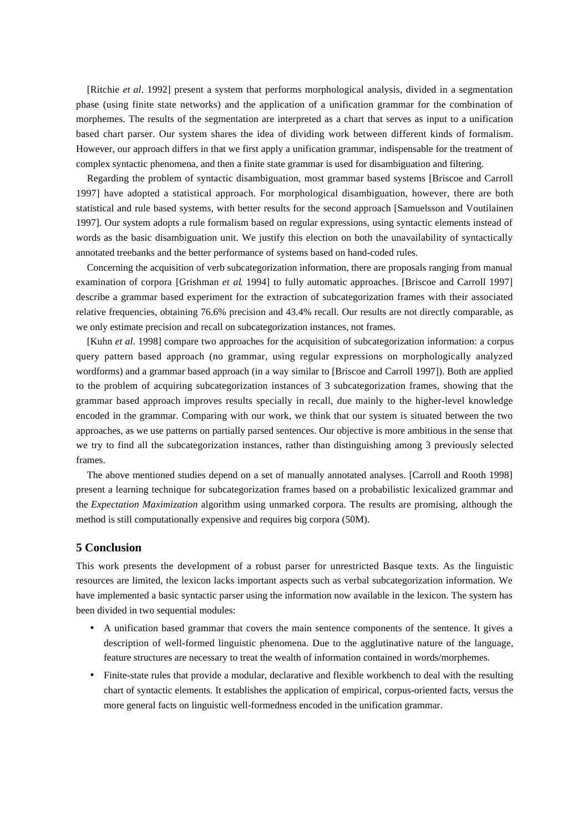[Ritchie *et al*. 1992] present a system that performs morphological analysis, divided in a segmentation phase (using finite state networks) and the application of a unification grammar for the combination of morphemes. The results of the segmentation are interpreted as a chart that serves as input to a unification based chart parser. Our system shares the idea of dividing work between different kinds of formalism. However, our approach differs in that we first apply a unification grammar, indispensable for the treatment of complex syntactic phenomena, and then a finite state grammar is used for disambiguation and filtering.

Regarding the problem of syntactic disambiguation, most grammar based systems [Briscoe and Carroll 1997] have adopted a statistical approach. For morphological disambiguation, however, there are both statistical and rule based systems, with better results for the second approach [Samuelsson and Voutilainen 1997]. Our system adopts a rule formalism based on regular expressions, using syntactic elements instead of words as the basic disambiguation unit. We justify this election on both the unavailability of syntactically annotated treebanks and the better performance of systems based on hand-coded rules.

Concerning the acquisition of verb subcategorization information, there are proposals ranging from manual examination of corpora [Grishman *et al*. 1994] to fully automatic approaches. [Briscoe and Carroll 1997] describe a grammar based experiment for the extraction of subcategorization frames with their associated relative frequencies, obtaining 76.6% precision and 43.4% recall. Our results are not directly comparable, as we only estimate precision and recall on subcategorization instances, not frames.

[Kuhn *et al*. 1998] compare two approaches for the acquisition of subcategorization information: a corpus query pattern based approach (no grammar, using regular expressions on morphologically analyzed wordforms) and a grammar based approach (in a way similar to [Briscoe and Carroll 1997]). Both are applied to the problem of acquiring subcategorization instances of 3 subcategorization frames, showing that the grammar based approach improves results specially in recall, due mainly to the higher-level knowledge encoded in the grammar. Comparing with our work, we think that our system is situated between the two approaches, as we use patterns on partially parsed sentences. Our objective is more ambitious in the sense that we try to find all the subcategorization instances, rather than distinguishing among 3 previously selected frames.

The above mentioned studies depend on a set of manually annotated analyses. [Carroll and Rooth 1998] present a learning technique for subcategorization frames based on a probabilistic lexicalized grammar and the *Expectation Maximization* algorithm using unmarked corpora. The results are promising, although the method is still computationally expensive and requires big corpora (50M).

## **5 Conclusion**

This work presents the development of a robust parser for unrestricted Basque texts. As the linguistic resources are limited, the lexicon lacks important aspects such as verbal subcategorization information. We have implemented a basic syntactic parser using the information now available in the lexicon. The system has been divided in two sequential modules:

- A unification based grammar that covers the main sentence components of the sentence. It gives a description of well-formed linguistic phenomena. Due to the agglutinative nature of the language, feature structures are necessary to treat the wealth of information contained in words/morphemes.
- Finite-state rules that provide a modular, declarative and flexible workbench to deal with the resulting chart of syntactic elements. It establishes the application of empirical, corpus-oriented facts, versus the more general facts on linguistic well-formedness encoded in the unification grammar.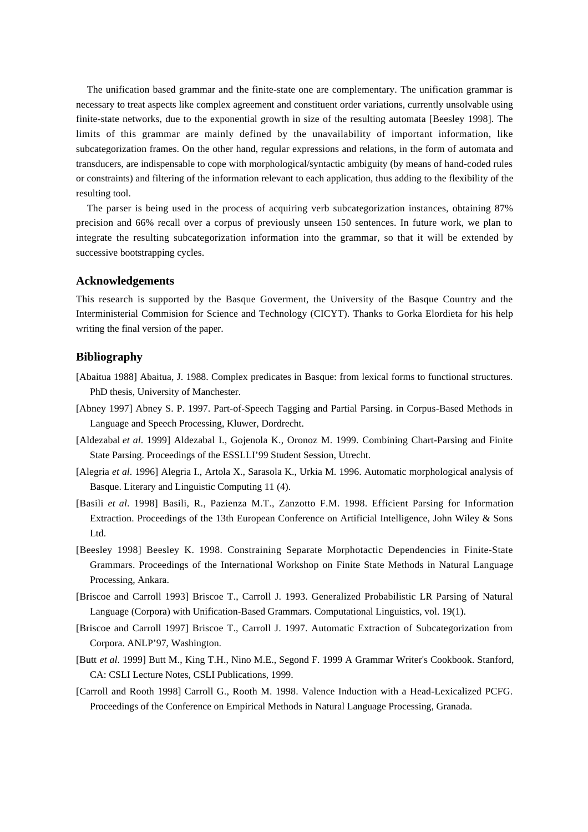The unification based grammar and the finite-state one are complementary. The unification grammar is necessary to treat aspects like complex agreement and constituent order variations, currently unsolvable using finite-state networks, due to the exponential growth in size of the resulting automata [Beesley 1998]. The limits of this grammar are mainly defined by the unavailability of important information, like subcategorization frames. On the other hand, regular expressions and relations, in the form of automata and transducers, are indispensable to cope with morphological/syntactic ambiguity (by means of hand-coded rules or constraints) and filtering of the information relevant to each application, thus adding to the flexibility of the resulting tool.

The parser is being used in the process of acquiring verb subcategorization instances, obtaining 87% precision and 66% recall over a corpus of previously unseen 150 sentences. In future work, we plan to integrate the resulting subcategorization information into the grammar, so that it will be extended by successive bootstrapping cycles.

## **Acknowledgements**

This research is supported by the Basque Goverment, the University of the Basque Country and the Interministerial Commision for Science and Technology (CICYT). Thanks to Gorka Elordieta for his help writing the final version of the paper.

## **Bibliography**

- [Abaitua 1988] Abaitua, J. 1988. Complex predicates in Basque: from lexical forms to functional structures. PhD thesis, University of Manchester.
- [Abney 1997] Abney S. P. 1997. Part-of-Speech Tagging and Partial Parsing. in Corpus-Based Methods in Language and Speech Processing, Kluwer, Dordrecht.
- [Aldezabal *et al*. 1999] Aldezabal I., Gojenola K., Oronoz M. 1999. Combining Chart-Parsing and Finite State Parsing. Proceedings of the ESSLLI'99 Student Session, Utrecht.
- [Alegria *et al*. 1996] Alegria I., Artola X., Sarasola K., Urkia M. 1996. Automatic morphological analysis of Basque. Literary and Linguistic Computing 11 (4).
- [Basili *et al*. 1998] Basili, R., Pazienza M.T., Zanzotto F.M. 1998. Efficient Parsing for Information Extraction. Proceedings of the 13th European Conference on Artificial Intelligence, John Wiley & Sons Ltd.
- [Beesley 1998] Beesley K. 1998. Constraining Separate Morphotactic Dependencies in Finite-State Grammars. Proceedings of the International Workshop on Finite State Methods in Natural Language Processing, Ankara.
- [Briscoe and Carroll 1993] Briscoe T., Carroll J. 1993. Generalized Probabilistic LR Parsing of Natural Language (Corpora) with Unification-Based Grammars. Computational Linguistics, vol. 19(1).
- [Briscoe and Carroll 1997] Briscoe T., Carroll J. 1997. Automatic Extraction of Subcategorization from Corpora. ANLP'97, Washington.
- [Butt *et al*. 1999] Butt M., King T.H., Nino M.E., Segond F. 1999 A Grammar Writer's Cookbook. Stanford, CA: CSLI Lecture Notes, CSLI Publications, 1999.
- [Carroll and Rooth 1998] Carroll G., Rooth M. 1998. Valence Induction with a Head-Lexicalized PCFG. Proceedings of the Conference on Empirical Methods in Natural Language Processing, Granada.